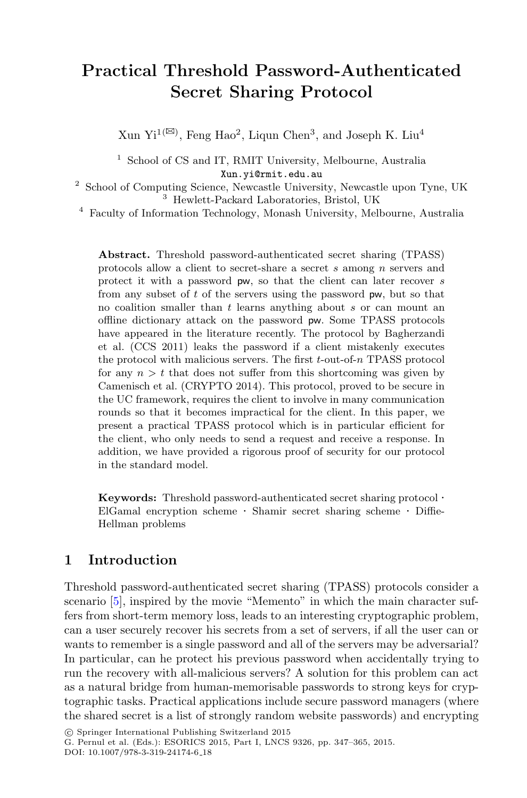## **Practical Threshold Password-Authenticated Secret Sharing Protocol**

Xun Yi<sup>1( $\boxtimes$ )</sup>, Feng Hao<sup>2</sup>, Liqun Chen<sup>3</sup>, and Joseph K. Liu<sup>4</sup>

<sup>1</sup> School of CS and IT, RMIT University, Melbourne, Australia Xun.yi@rmit.edu.au

<sup>2</sup> School of Computing Science, Newcastle University, Newcastle upon Tyne, UK <sup>3</sup> Hewlett-Packard Laboratories, Bristol, UK

<sup>4</sup> Faculty of Information Technology, Monash University, Melbourne, Australia

**Abstract.** Threshold password-authenticated secret sharing (TPASS) protocols allow a client to secret-share a secret *s* among *n* servers and protect it with a password pw, so that the client can later recover *s* from any subset of *t* of the servers using the password pw, but so that no coalition smaller than *t* learns anything about *s* or can mount an offline dictionary attack on the password pw. Some TPASS protocols have appeared in the literature recently. The protocol by Bagherzandi et al. (CCS 2011) leaks the password if a client mistakenly executes the protocol with malicious servers. The first *t*-out-of-*n* TPASS protocol for any  $n > t$  that does not suffer from this shortcoming was given by Camenisch et al. (CRYPTO 2014). This protocol, proved to be secure in the UC framework, requires the client to involve in many communication rounds so that it becomes impractical for the client. In this paper, we present a practical TPASS protocol which is in particular efficient for the client, who only needs to send a request and receive a response. In addition, we have provided a rigorous proof of security for our protocol in the standard model.

**Keywords:** Threshold password-authenticated secret sharing protocol · ElGamal encryption scheme · Shamir secret sharing scheme · Diffie-Hellman problems

## **1 Introduction**

Threshold password-authenticated secret sharing (TPASS) protocols consider a scenario [\[5](#page-18-0)], inspired by the movie "Memento" in which the main character suffers from short-term memory loss, leads to an interesting cryptographic problem, can a user securely recover his secrets from a set of servers, if all the user can or wants to remember is a single password and all of the servers may be adversarial? In particular, can he protect his previous password when accidentally trying to run the recovery with all-malicious servers? A solution for this problem can act as a natural bridge from human-memorisable passwords to strong keys for cryptographic tasks. Practical applications include secure password managers (where the shared secret is a list of strongly random website passwords) and encrypting

<sup>-</sup>c Springer International Publishing Switzerland 2015

G. Pernul et al. (Eds.): ESORICS 2015, Part I, LNCS 9326, pp. 347–365, 2015. DOI: 10.1007/978-3-319-24174-6 18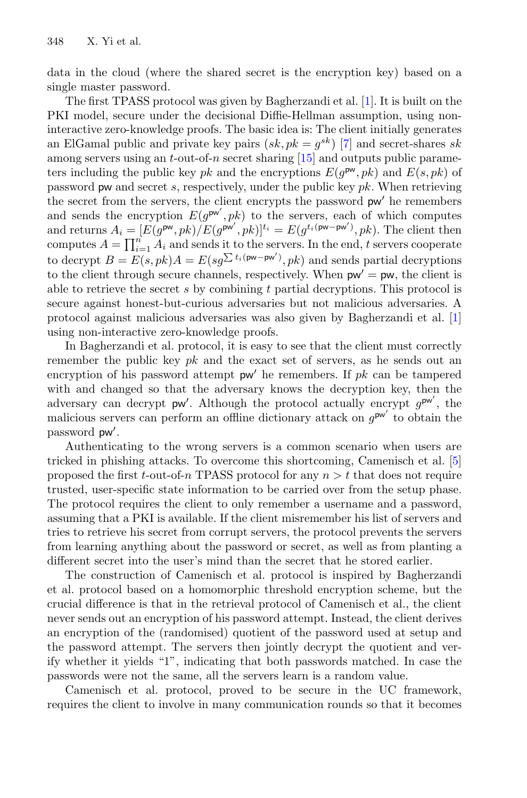data in the cloud (where the shared secret is the encryption key) based on a single master password.

The first TPASS protocol was given by Bagherzandi et al. [\[1](#page-17-0)]. It is built on the PKI model, secure under the decisional Diffie-Hellman assumption, using noninteractive zero-knowledge proofs. The basic idea is: The client initially generates an ElGamal public and private key pairs  $(sk, pk = g^{sk})$  [\[7](#page-18-1)] and secret-shares sk among servers using an  $t$ -out-of-n secret sharing [\[15\]](#page-18-2) and outputs public parameters including the public key pk and the encryptions  $E(g^{pw}, pk)$  and  $E(s, pk)$  of password pw and secret s, respectively, under the public key pk. When retrieving the secret from the servers, the client encrypts the password  $pw'$  he remembers and sends the encryption  $E(g^{\mathsf{pw}'},pk)$  to the servers, each of which computes and returns  $A_i = [E(g^{\mathsf{pw}}, pk)/E(g^{\mathsf{pw}'}, pk)]^{t_i} = E(g^{t_i(\mathsf{pw}-\mathsf{pw}')}, pk)$ . The client then computes  $A = \prod_{i=1}^{n} A_i$  and sends it to the servers. In the end, t servers cooperate to decrypt  $B = E(s, pk)A = E(sg^{\sum t_i(\text{pw}-\text{pw}')}$ ,  $pk)$  and sends partial decryptions to the client through secure channels, respectively. When  $pw' = pw$ , the client is able to retrieve the secret s by combining t partial decryptions. This protocol is secure against honest-but-curious adversaries but not malicious adversaries. A protocol against malicious adversaries was also given by Bagherzandi et al. [\[1](#page-17-0)] using non-interactive zero-knowledge proofs.

In Bagherzandi et al. protocol, it is easy to see that the client must correctly remember the public key  $pk$  and the exact set of servers, as he sends out an encryption of his password attempt  $pw'$  he remembers. If  $pk$  can be tampered with and changed so that the adversary knows the decryption key, then the adversary can decrypt  $pw'$ . Although the protocol actually encrypt  $g^{pw'}$ , the malicious servers can perform an offline dictionary attack on  $g^{\mathsf{pw}'}$  to obtain the password pw .

Authenticating to the wrong servers is a common scenario when users are tricked in phishing attacks. To overcome this shortcoming, Camenisch et al. [\[5](#page-18-0)] proposed the first t-out-of-n TPASS protocol for any  $n > t$  that does not require trusted, user-specific state information to be carried over from the setup phase. The protocol requires the client to only remember a username and a password, assuming that a PKI is available. If the client misremember his list of servers and tries to retrieve his secret from corrupt servers, the protocol prevents the servers from learning anything about the password or secret, as well as from planting a different secret into the user's mind than the secret that he stored earlier.

The construction of Camenisch et al. protocol is inspired by Bagherzandi et al. protocol based on a homomorphic threshold encryption scheme, but the crucial difference is that in the retrieval protocol of Camenisch et al., the client never sends out an encryption of his password attempt. Instead, the client derives an encryption of the (randomised) quotient of the password used at setup and the password attempt. The servers then jointly decrypt the quotient and verify whether it yields "1", indicating that both passwords matched. In case the passwords were not the same, all the servers learn is a random value.

Camenisch et al. protocol, proved to be secure in the UC framework, requires the client to involve in many communication rounds so that it becomes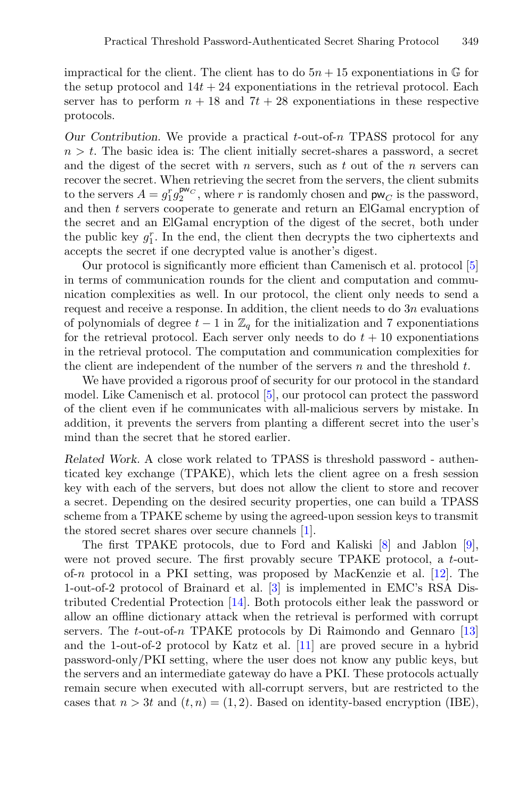impractical for the client. The client has to do  $5n + 15$  exponentiations in  $\mathbb{G}$  for the setup protocol and  $14t + 24$  exponentiations in the retrieval protocol. Each server has to perform  $n + 18$  and  $7t + 28$  exponentiations in these respective protocols.

*Our Contribution.* We provide a practical *t*-out-of-n TPASS protocol for any  $n>t$ . The basic idea is: The client initially secret-shares a password, a secret and the digest of the secret with n servers, such as t out of the n servers can recover the secret. When retrieving the secret from the servers, the client submits to the servers  $A = g_1^r g_2^{\mathsf{pw}_C}$ , where r is randomly chosen and  $\mathsf{pw}_C$  is the password, and then t servers cooperate to generate and return an ElGamal encryption of the secret and an ElGamal encryption of the digest of the secret, both under the public key  $g_1^r$ . In the end, the client then decrypts the two ciphertexts and accepts the secret if one decrypted value is another's digest.

Our protocol is significantly more efficient than Camenisch et al. protocol [\[5\]](#page-18-0) in terms of communication rounds for the client and computation and communication complexities as well. In our protocol, the client only needs to send a request and receive a response. In addition, the client needs to do 3n evaluations of polynomials of degree  $t - 1$  in  $\mathbb{Z}_q$  for the initialization and 7 exponentiations for the retrieval protocol. Each server only needs to do  $t + 10$  exponentiations in the retrieval protocol. The computation and communication complexities for the client are independent of the number of the servers  $n$  and the threshold  $t$ .

We have provided a rigorous proof of security for our protocol in the standard model. Like Camenisch et al. protocol [\[5](#page-18-0)], our protocol can protect the password of the client even if he communicates with all-malicious servers by mistake. In addition, it prevents the servers from planting a different secret into the user's mind than the secret that he stored earlier.

*Related Work.* A close work related to TPASS is threshold password - authenticated key exchange (TPAKE), which lets the client agree on a fresh session key with each of the servers, but does not allow the client to store and recover a secret. Depending on the desired security properties, one can build a TPASS scheme from a TPAKE scheme by using the agreed-upon session keys to transmit the stored secret shares over secure channels [\[1](#page-17-0)].

The first TPAKE protocols, due to Ford and Kaliski [\[8\]](#page-18-3) and Jablon [\[9\]](#page-18-4), were not proved secure. The first provably secure TPAKE protocol, a t-outof-n protocol in a PKI setting, was proposed by MacKenzie et al. [\[12\]](#page-18-5). The 1-out-of-2 protocol of Brainard et al. [\[3\]](#page-18-6) is implemented in EMC's RSA Distributed Credential Protection [\[14](#page-18-7)]. Both protocols either leak the password or allow an offline dictionary attack when the retrieval is performed with corrupt servers. The t-out-of-n TPAKE protocols by Di Raimondo and Gennaro [\[13\]](#page-18-8) and the 1-out-of-2 protocol by Katz et al. [\[11\]](#page-18-9) are proved secure in a hybrid password-only/PKI setting, where the user does not know any public keys, but the servers and an intermediate gateway do have a PKI. These protocols actually remain secure when executed with all-corrupt servers, but are restricted to the cases that  $n > 3t$  and  $(t, n) = (1, 2)$ . Based on identity-based encryption (IBE),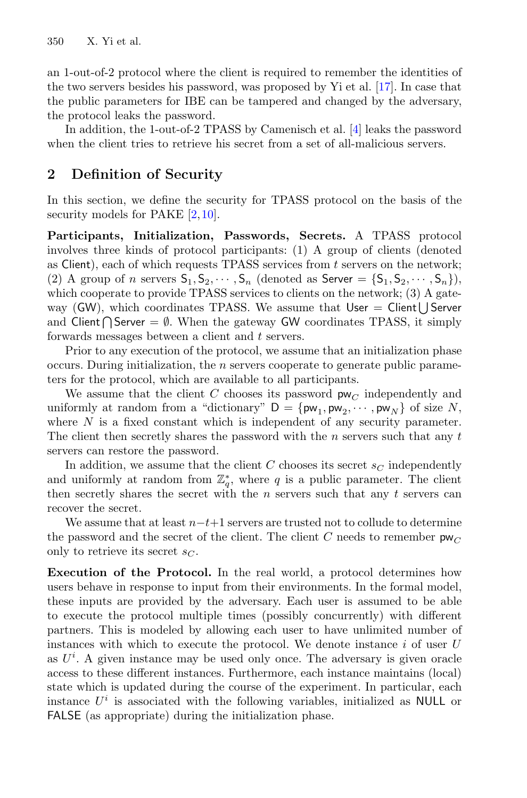an 1-out-of-2 protocol where the client is required to remember the identities of the two servers besides his password, was proposed by Yi et al. [\[17\]](#page-18-10). In case that the public parameters for IBE can be tampered and changed by the adversary, the protocol leaks the password.

In addition, the 1-out-of-2 TPASS by Camenisch et al. [\[4](#page-18-11)] leaks the password when the client tries to retrieve his secret from a set of all-malicious servers.

## <span id="page-3-0"></span>**2 Definition of Security**

In this section, we define the security for TPASS protocol on the basis of the security models for PAKE [\[2](#page-18-12)[,10](#page-18-13)].

**Participants, Initialization, Passwords, Secrets.** A TPASS protocol involves three kinds of protocol participants: (1) A group of clients (denoted as Client), each of which requests TPASS services from  $t$  servers on the network; (2) A group of n servers  $S_1, S_2, \cdots, S_n$  (denoted as Server =  $\{S_1, S_2, \cdots, S_n\}$ ), which cooperate to provide TPASS services to clients on the network; (3) A gateway (GW), which coordinates TPASS. We assume that  $User = Client | Server$ and Client  $\bigcap$  Server  $=\emptyset$ . When the gateway GW coordinates TPASS, it simply forwards messages between a client and t servers.

Prior to any execution of the protocol, we assume that an initialization phase occurs. During initialization, the  $n$  servers cooperate to generate public parameters for the protocol, which are available to all participants.

We assume that the client C chooses its password  $\mathsf{pw}_C$  independently and uniformly at random from a "dictionary"  $D = \{pw_1, pw_2, \cdots, pw_N\}$  of size N, where  $N$  is a fixed constant which is independent of any security parameter. The client then secretly shares the password with the  $n$  servers such that any  $t$ servers can restore the password.

In addition, we assume that the client  $C$  chooses its secret  $s_C$  independently and uniformly at random from  $\mathbb{Z}_q^*$ , where q is a public parameter. The client then secretly shares the secret with the  $n$  servers such that any  $t$  servers can recover the secret.

We assume that at least  $n-t+1$  servers are trusted not to collude to determine the password and the secret of the client. The client C needs to remember  $\mathsf{pw}_C$ only to retrieve its secret  $s_C$ .

**Execution of the Protocol.** In the real world, a protocol determines how users behave in response to input from their environments. In the formal model, these inputs are provided by the adversary. Each user is assumed to be able to execute the protocol multiple times (possibly concurrently) with different partners. This is modeled by allowing each user to have unlimited number of instances with which to execute the protocol. We denote instance  $i$  of user  $U$ as  $U^i$ . A given instance may be used only once. The adversary is given oracle access to these different instances. Furthermore, each instance maintains (local) state which is updated during the course of the experiment. In particular, each instance  $U^i$  is associated with the following variables, initialized as **NULL** or FALSE (as appropriate) during the initialization phase.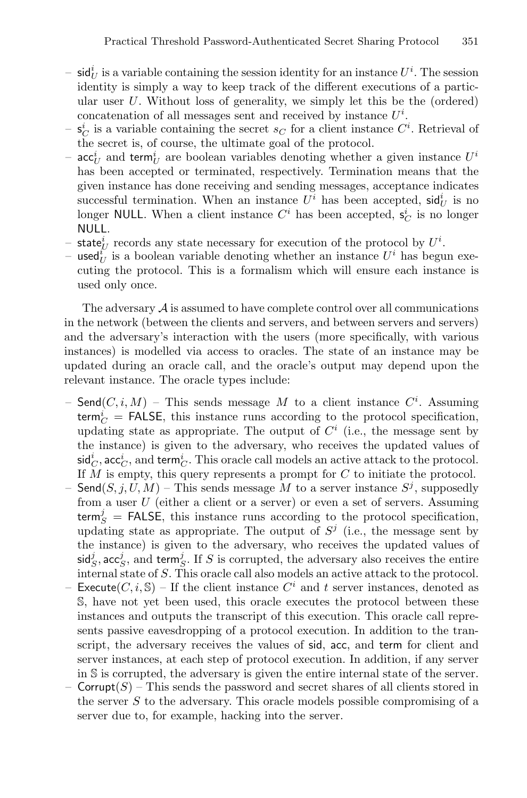- $-$  sid<sub>U</sub><sup>*i*</sup> is a variable containing the session identity for an instance  $U^i$ . The session identity is simply a way to keep track of the different executions of a particular user  $U$ . Without loss of generality, we simply let this be the (ordered) concatenation of all messages sent and received by instance  $U^i$ .
- $-\mathbf{s}_C^i$  is a variable containing the secret  $s_C$  for a client instance  $C^i$ . Retrieval of the secret is, of course, the ultimate goal of the protocol.
- $\mathrm{acc}^i_U$  and term<sup>*i*</sup></sup> are boolean variables denoting whether a given instance  $U^i$ has been accepted or terminated, respectively. Termination means that the given instance has done receiving and sending messages, acceptance indicates successful termination. When an instance  $U^i$  has been accepted,  $\mathsf{sid}^i_U$  is no longer **NULL**. When a client instance  $C^i$  has been accepted,  $s_C^i$  is no longer NULL.
- state<sup>*i*</sup></sup> records any state necessary for execution of the protocol by  $U^i$ .
- used $\tilde{u}$  is a boolean variable denoting whether an instance  $U^i$  has begun executing the protocol. This is a formalism which will ensure each instance is used only once.

The adversary  $\mathcal A$  is assumed to have complete control over all communications in the network (between the clients and servers, and between servers and servers) and the adversary's interaction with the users (more specifically, with various instances) is modelled via access to oracles. The state of an instance may be updated during an oracle call, and the oracle's output may depend upon the relevant instance. The oracle types include:

- $-$  Send $(C, i, M)$   $-$  This sends message  $M$  to a client instance  $C^i$ . Assuming  $\mathsf{term}^i_C$  = FALSE, this instance runs according to the protocol specification, updating state as appropriate. The output of  $C<sup>i</sup>$  (i.e., the message sent by the instance) is given to the adversary, who receives the updated values of  $\mathsf{sid}^i_C, \mathsf{acc}^i_C, \text{ and } \mathsf{term}^i_C. \text{ This oracle call models an active attack to the protocol.}$ If M is empty, this query represents a prompt for C to initiate the protocol.
- Send $(S, j, U, M)$  This sends message M to a server instance  $S<sup>j</sup>$ , supposedly from a user  $U$  (either a client or a server) or even a set of servers. Assuming  $\mathsf{term}^j_S$  = FALSE, this instance runs according to the protocol specification, updating state as appropriate. The output of  $S<sup>j</sup>$  (i.e., the message sent by the instance) is given to the adversary, who receives the updated values of  $\mathsf{sid}^j_S$ , acc<sup>*j*</sup>, and term<sup>*j*</sup>, If *S* is corrupted, the adversary also receives the entire internal state of S. This oracle call also models an active attack to the protocol.
- Execute $(C, i, S)$  If the client instance  $C^i$  and t server instances, denoted as S, have not yet been used, this oracle executes the protocol between these instances and outputs the transcript of this execution. This oracle call represents passive eavesdropping of a protocol execution. In addition to the transcript, the adversary receives the values of sid, acc, and term for client and server instances, at each step of protocol execution. In addition, if any server in S is corrupted, the adversary is given the entire internal state of the server.
- Corrupt $(S)$  This sends the password and secret shares of all clients stored in the server S to the adversary. This oracle models possible compromising of a server due to, for example, hacking into the server.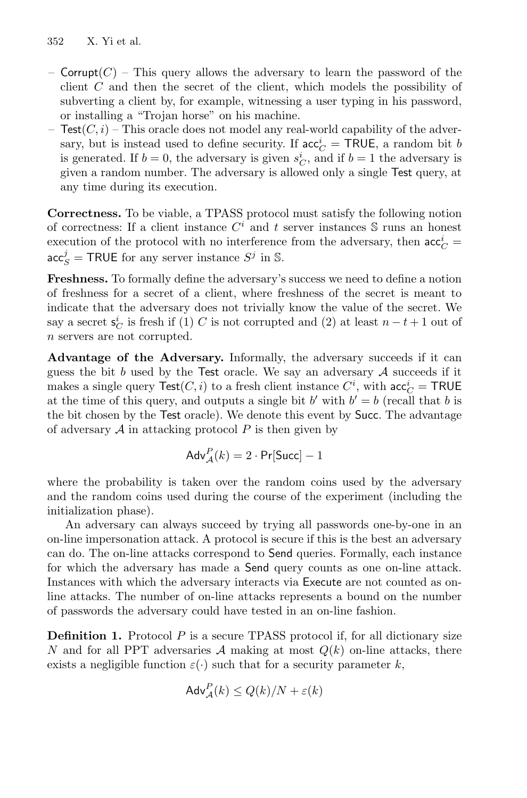- Corrupt  $(C)$  This query allows the adversary to learn the password of the client C and then the secret of the client, which models the possibility of subverting a client by, for example, witnessing a user typing in his password, or installing a "Trojan horse" on his machine.
- Test $(C, i)$  This oracle does not model any real-world capability of the adversary, but is instead used to define security. If  $acc_C^i = \text{TRUE}$ , a random bit b is generated. If  $b = 0$ , the adversary is given  $s_C^i$ , and if  $b = 1$  the adversary is given a random number. The adversary is allowed only a single Test query, at any time during its execution.

**Correctness.** To be viable, a TPASS protocol must satisfy the following notion of correctness: If a client instance  $C<sup>i</sup>$  and t server instances  $S$  runs an honest execution of the protocol with no interference from the adversary, then  $\operatorname{acc}_C^i$  =  $\operatorname{acc}_S^j$  = TRUE for any server instance  $S^j$  in S.

**Freshness.** To formally define the adversary's success we need to define a notion of freshness for a secret of a client, where freshness of the secret is meant to indicate that the adversary does not trivially know the value of the secret. We say a secret  $s_C^i$  is fresh if (1) C is not corrupted and (2) at least  $n - t + 1$  out of n servers are not corrupted.

**Advantage of the Adversary.** Informally, the adversary succeeds if it can guess the bit b used by the Test oracle. We say an adversary  $A$  succeeds if it makes a single query  $\mathsf{Test}(C, i)$  to a fresh client instance  $C^i$ , with  $\mathsf{acc}^i_C = \mathsf{TRUE}$ at the time of this query, and outputs a single bit b' with  $b' = b$  (recall that b is the bit chosen by the Test oracle). We denote this event by Succ. The advantage of adversary  $A$  in attacking protocol  $P$  is then given by

$$
Adv_{\mathcal{A}}^{P}(k) = 2 \cdot Pr[Succ] - 1
$$

where the probability is taken over the random coins used by the adversary and the random coins used during the course of the experiment (including the initialization phase).

An adversary can always succeed by trying all passwords one-by-one in an on-line impersonation attack. A protocol is secure if this is the best an adversary can do. The on-line attacks correspond to Send queries. Formally, each instance for which the adversary has made a Send query counts as one on-line attack. Instances with which the adversary interacts via Execute are not counted as online attacks. The number of on-line attacks represents a bound on the number of passwords the adversary could have tested in an on-line fashion.

<span id="page-5-0"></span>**Definition 1.** Protocol P is a secure TPASS protocol if, for all dictionary size N and for all PPT adversaries A making at most  $Q(k)$  on-line attacks, there exists a negligible function  $\varepsilon(\cdot)$  such that for a security parameter k,

$$
Adv_{\mathcal{A}}^{P}(k) \le Q(k)/N + \varepsilon(k)
$$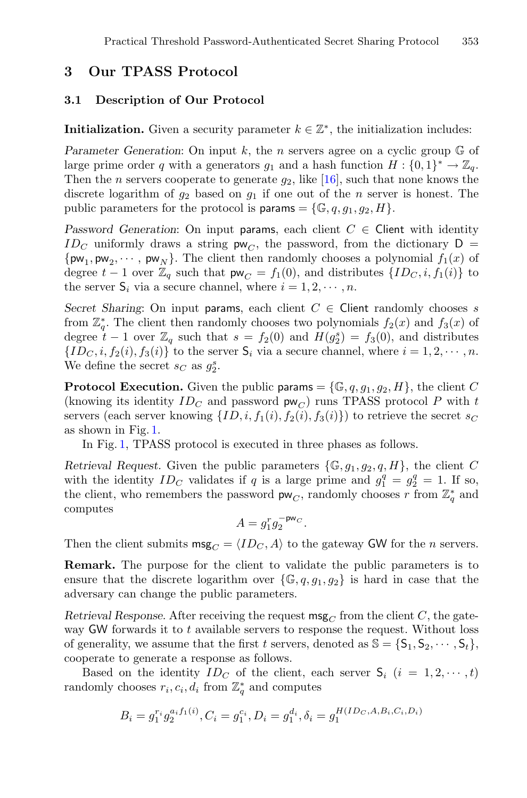## **3 Our TPASS Protocol**

### **3.1 Description of Our Protocol**

**Initialization.** Given a security parameter  $k \in \mathbb{Z}^*$ , the initialization includes:

*Parameter Generation:* On input k, the *n* servers agree on a cyclic group  $\mathbb{G}$  of large prime order q with a generators  $g_1$  and a hash function  $H : \{0,1\}^* \to \mathbb{Z}_q$ . Then the *n* servers cooperate to generate  $q_2$ , like [\[16](#page-18-14)], such that none knows the discrete logarithm of  $q_2$  based on  $q_1$  if one out of the *n* server is honest. The public parameters for the protocol is **params** =  $\{\mathbb{G}, q, q_1, q_2, H\}.$ 

*Password Generation:* On input params, each client  $C \in$  Client with identity  $ID_C$  uniformly draws a string  $pw_C$ , the password, from the dictionary  $D =$  $\{\mathsf{pw}_1, \mathsf{pw}_2, \cdots, \mathsf{pw}_N\}$ . The client then randomly chooses a polynomial  $f_1(x)$  of degree  $t-1$  over  $\mathbb{Z}_q$  such that  $\mathsf{pw}_C = f_1(0)$ , and distributes  $\{ID_C, i, f_1(i)\}$  to the server  $S_i$  via a secure channel, where  $i = 1, 2, \dots, n$ .

*Secret Sharing*: On input params, each client  $C \in$  Client randomly chooses s from  $\mathbb{Z}_q^*$ . The client then randomly chooses two polynomials  $f_2(x)$  and  $f_3(x)$  of degree  $t - 1$  over  $\mathbb{Z}_q$  such that  $s = f_2(0)$  and  $H(g_2^s) = f_3(0)$ , and distributes  ${ID_C, i, f_2(i), f_3(i)}$  to the server  $S_i$  via a secure channel, where  $i = 1, 2, \dots, n$ . We define the secret  $s_C$  as  $g_2^s$ .

**Protocol Execution.** Given the public params =  $\{\mathbb{G}, q, g_1, g_2, H\}$ , the client C (knowing its identity  $ID_C$  and password  $\mathsf{pw}_C$ ) runs TPASS protocol P with t servers (each server knowing  $\{ID, i, f_1(i), f_2(i), f_3(i)\}\)$  to retrieve the secret  $s_C$ as shown in Fig. [1.](#page-7-0)

In Fig. [1,](#page-7-0) TPASS protocol is executed in three phases as follows.

*Retrieval Request.* Given the public parameters  $\{\mathbb{G}, q_1, q_2, q, H\}$ , the client C with the identity  $ID_C$  validates if q is a large prime and  $g_1^q = g_2^q = 1$ . If so, the client, who remembers the password  $\mathsf{pw}_C$ , randomly chooses r from  $\mathbb{Z}_q^*$  and computes

 $A = g_1^r g_2^{-\text{pw}_C}.$ 

Then the client submits  $\text{msg}_C = \langle ID_C, A \rangle$  to the gateway GW for the *n* servers.

**Remark.** The purpose for the client to validate the public parameters is to ensure that the discrete logarithm over  $\{\mathbb{G}, q, g_1, g_2\}$  is hard in case that the adversary can change the public parameters.

*Retrieval Response.* After receiving the request  $\mathsf{msg}_C$  from the client C, the gateway GW forwards it to  $t$  available servers to response the request. Without loss of generality, we assume that the first t servers, denoted as  $\mathbb{S} = \{S_1, S_2, \dots, S_t\}$ , cooperate to generate a response as follows.

Based on the identity  $ID_C$  of the client, each server  $S_i$   $(i = 1, 2, \dots, t)$ randomly chooses  $r_i, c_i, d_i$  from  $\mathbb{Z}_q^*$  and computes

$$
B_i=g_1^{r_i}g_2^{a_if_1(i)}, C_i=g_1^{c_i}, D_i=g_1^{d_i}, \delta_i=g_1^{H(ID_C,A,B_i,C_i,D_i)}
$$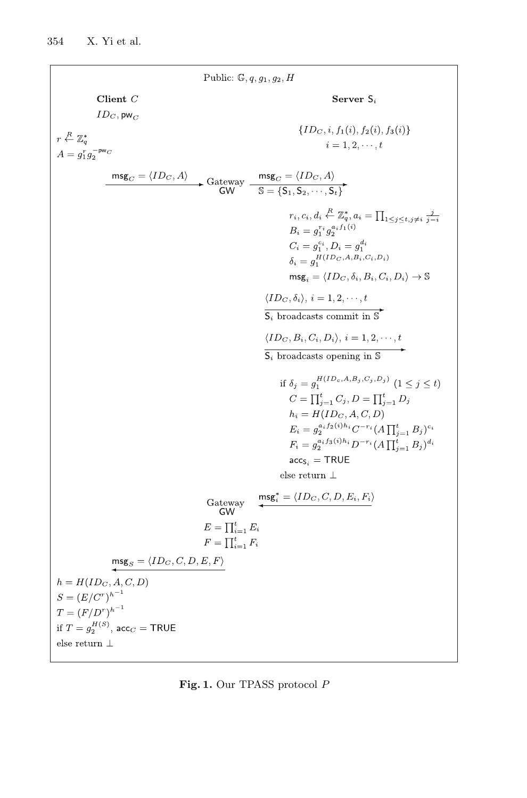Public:  $\mathbb{G}, q, g_1, g_2, H$ Client  $C$ Server  $S_i$  $ID_C$ , pw $_C$  $\{ID_C, i, f_1(i), f_2(i), f_3(i)\}\$  $r \stackrel{R}{\leftarrow} \mathbb{Z}_q^*$  $i=1,2,\cdots,t$  $A = g_1^r g_2^{-\text{pw}_C}$  $\overbrace{\mathsf{msg}_C = \langle ID_C, A \rangle}_{\mathsf{GW}} \xrightarrow{\mathsf{Galeway}} \overbrace{\mathsf{msg}_C = \langle ID_C, A \rangle}_{\mathsf{S} = \{S_1, S_2, \cdots, S_t\}}$  $\begin{array}{l} r_i, c_i, d_i \stackrel{R}{\leftarrow} \mathbb{Z}_q^*, a_i = \prod_{1 \leq j \leq t, j \neq i} \frac{j}{j-i}\\ B_i = g_1^{r_i} g_2^{a_i f_1(i)} \end{array}$  $C_i = g_1^{c_i}, D_i = g_1^{d_i}$  $S_i = g_1^{H(ID_C, A, B_i, C_i, D_i)}$  $\text{msg}_i = \langle ID_C, \delta_i, B_i, C_i, D_i \rangle \rightarrow \mathbb{S}$  $\langle ID_C, \delta_i \rangle, i = 1, 2, \cdots, t$  $S_i$  broadcasts commit in S  $\langle ID_C, B_i, C_i, D_i \rangle, i = 1, 2, \dots, t$  $\overline{S_i}$  broadcasts opening in  $\overline{S}$ if  $\delta_i = q_1^{H(ID_c, A, B_j, C_j, D_j)}$   $(1 \le j \le t)$  $C = \prod_{i=1}^{t} C_i, D = \prod_{i=1}^{t} D_i$  $h_i = H(ID_C, A, C, D)$  $E_i = g_2^{a_i f_2(i)h_i} C^{-r_i} (A \prod_{i=1}^t B_i)^{c_i}$  $F_i = g_2^{a_i f_3(i)h_i} D^{-r_i} (A \prod_{i=1}^t B_i)^{d_i}$  $\mathrm{acc}_{S_i} = \mathsf{TRUE}$ else return $\perp$  $\textsf{msg}_i^* = \langle ID_C, C, D, E_i, F_i \rangle$ Gateway GW  $E = \prod_{i=1}^t E_i$  $F=\prod_{i=1}^t F_i$  $\textsf{msg}_S = \langle ID_C, C, D, E, F \rangle$  $h = H(ID_C, A, C, D)$  $S = (E/C^r)^{h^{-1}}$  $T = (F/D^{r})^{h^{-1}}$ if  $T = g_2^{H(S)}$ , acc $_C = \textsf{TRUE}$ else return $\perp$ 

<span id="page-7-0"></span>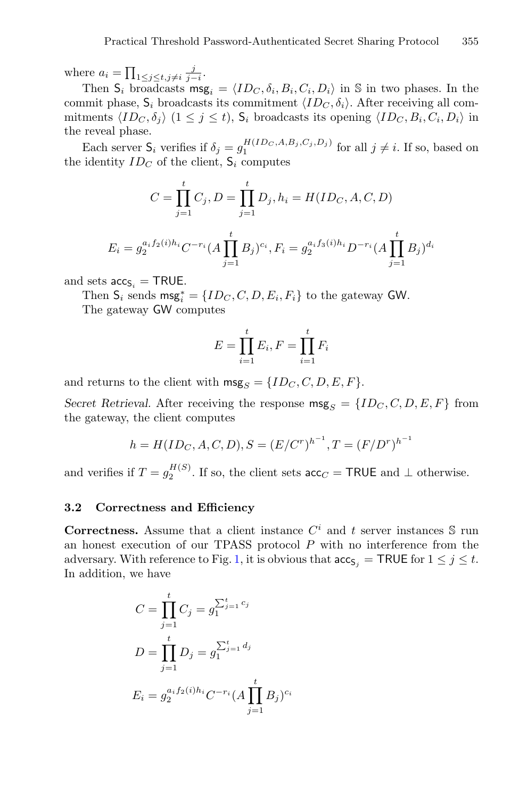where  $a_i = \prod_{1 \leq j \leq t, j \neq i} \frac{j}{j-i}$ .

Then  $S_i$  broadcasts msg<sub>i</sub> =  $\langle ID_C, \delta_i, B_i, C_i, D_i \rangle$  in S in two phases. In the commit phase,  $S_i$  broadcasts its commitment  $\langle ID_C, \delta_i \rangle$ . After receiving all commitments  $\langle ID_C, \delta_i \rangle$   $(1 \leq j \leq t)$ ,  $S_i$  broadcasts its opening  $\langle ID_C, B_i, C_i, D_i \rangle$  in the reveal phase.

Each server  $S_i$  verifies if  $\delta_j = g_1^{H(ID_C, A, B_j, C_j, D_j)}$  for all  $j \neq i$ . If so, based on the identity  $ID_C$  of the client,  $S_i$  computes

$$
C = \prod_{j=1}^{t} C_j, D = \prod_{j=1}^{t} D_j, h_i = H(ID_C, A, C, D)
$$

$$
E_i = g_2^{a_i f_2(i)h_i} C^{-r_i} (A \prod_{j=1}^{t} B_j)^{c_i}, F_i = g_2^{a_i f_3(i)h_i} D^{-r_i} (A \prod_{j=1}^{t} B_j)^{d_i}
$$

and sets  $\mathsf{acc}_{\mathsf{S}_i} = \mathsf{TRUE}.$ 

Then  $S_i$  sends  $\text{msg}_i^* = \{ID_C, C, D, E_i, F_i\}$  to the gateway GW.

The gateway GW computes

$$
E = \prod_{i=1}^{t} E_i, F = \prod_{i=1}^{t} F_i
$$

and returns to the client with  $\text{msg}_S = \{ID_C, C, D, E, F\}.$ 

*Secret Retrieval.* After receiving the response  $\text{msg}_S = \{ID_C, C, D, E, F\}$  from the gateway, the client computes

$$
h = H(ID_C, A, C, D), S = (E/Cr)h-1, T = (F/Dr)h-1
$$

and verifies if  $T = g_2^{H(S)}$ . If so, the client sets  $\operatorname{acc}_C = \textsf{TRUE}$  and  $\perp$  otherwise.

#### **3.2 Correctness and Efficiency**

**Correctness.** Assume that a client instance  $C^i$  and t server instances  $\mathcal{S}$  run an honest execution of our TPASS protocol P with no interference from the adversary. With reference to Fig. [1,](#page-7-0) it is obvious that  $\mathrm{acc}_{S_i} = \textsf{TRUE}$  for  $1 \leq j \leq t$ . In addition, we have

$$
C = \prod_{j=1}^{t} C_j = g_1^{\sum_{j=1}^{t} c_j}
$$
  

$$
D = \prod_{j=1}^{t} D_j = g_1^{\sum_{j=1}^{t} d_j}
$$
  

$$
E_i = g_2^{a_i f_2(i) h_i} C^{-r_i} (A \prod_{j=1}^{t} B_j)^{c_i}
$$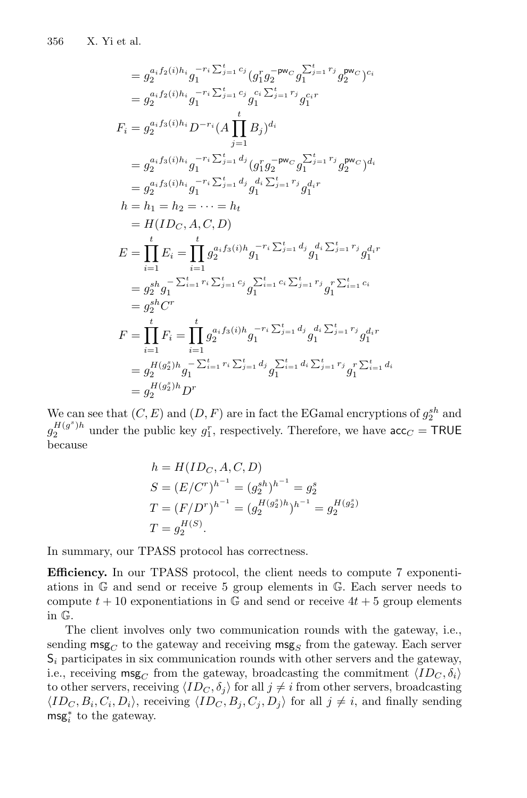$$
= g_2^{a_i f_2(i)h_i} g_1^{-r_i \sum_{j=1}^{t} c_j} (g_1^r g_2^{-pw_C} g_1^{\sum_{j=1}^{t} r_j} g_2^{pw_C})^{c_i}
$$
  
\n
$$
= g_2^{a_i f_2(i)h_i} g_1^{-r_i \sum_{j=1}^{t} c_j} g_1^{c_i \sum_{j=1}^{t} r_j} g_1^{c_i r}
$$
  
\n
$$
F_i = g_2^{a_i f_3(i)h_i} D^{-r_i} (A \prod_{j=1}^{t} B_j)^{d_i}
$$
  
\n
$$
= g_2^{a_i f_3(i)h_i} g_1^{-r_i \sum_{j=1}^{t} d_j} (g_1^r g_2^{-pw_C} g_1^{\sum_{j=1}^{t} r_j} g_2^{pw_C})^{d_i}
$$
  
\n
$$
= g_2^{a_i f_3(i)h_i} g_1^{-r_i \sum_{j=1}^{t} d_j} g_1^{d_i \sum_{j=1}^{t} r_j} g_1^{d_i r}
$$
  
\n
$$
h = h_1 = h_2 = \cdots = h_t
$$
  
\n
$$
= H(ID_C, A, C, D)
$$
  
\n
$$
E = \prod_{i=1}^{t} E_i = \prod_{i=1}^{t} g_2^{a_i f_3(i)h} g_1^{-r_i \sum_{j=1}^{t} d_j} g_1^{d_i \sum_{j=1}^{t} r_j} g_1^{d_i r}
$$
  
\n
$$
= g_2^{sh} g_1^{-\sum_{i=1}^{t} r_i \sum_{j=1}^{t} c_j} g_1^{\sum_{i=1}^{t} c_i \sum_{j=1}^{t} r_j} g_1^{r \sum_{i=1}^{t} c_i}
$$
  
\n
$$
= g_2^{sh} C^r
$$
  
\n
$$
F = \prod_{i=1}^{t} F_i = \prod_{j=1}^{t} g_2^{a_i f_3(i)h} g_1^{-r_i \sum_{j=1}^{t} d_j} g_1^{d_i \sum_{j=1}^{t} r_j} g_1^{d_i r}
$$
  
\n
$$
= g_2^{H(g_2^s)h} g_1^{-\sum_{i=1}^{t} r_i \sum_{j=
$$

We can see that  $(C, E)$  and  $(D, F)$  are in fact the EGamal encryptions of  $g_2^{sh}$  and  $g_2^{H(g^s)h}$  under the public key  $g_1^r$ , respectively. Therefore, we have  $\operatorname{acc}_C = \textsf{TRUE}$ because

$$
h = H(ID_C, A, C, D)
$$
  
\n
$$
S = (E/Cr)h-1 = (g2sh)h-1 = g2s
$$
  
\n
$$
T = (F/Dr)h-1 = (g2H(g2s)h)h-1 = g2H(g2s)
$$
  
\n
$$
T = g2H(S).
$$

In summary, our TPASS protocol has correctness.

**Efficiency.** In our TPASS protocol, the client needs to compute 7 exponentiations in G and send or receive 5 group elements in G. Each server needs to compute  $t + 10$  exponentiations in G and send or receive  $4t + 5$  group elements in G.

The client involves only two communication rounds with the gateway, i.e., sending  $\text{msg}_C$  to the gateway and receiving  $\text{msg}_S$  from the gateway. Each server S*<sup>i</sup>* participates in six communication rounds with other servers and the gateway, i.e., receiving  $\mathsf{msg}_C$  from the gateway, broadcasting the commitment  $\langle ID_C, \delta_i \rangle$ to other servers, receiving  $\langle ID_C, \delta_j \rangle$  for all  $j \neq i$  from other servers, broadcasting  $\langle ID_C, B_i, C_i, D_i \rangle$ , receiving  $\langle ID_C, B_j, C_j, D_j \rangle$  for all  $j \neq i$ , and finally sending  $\textsf{msg}_i^*$  to the gateway.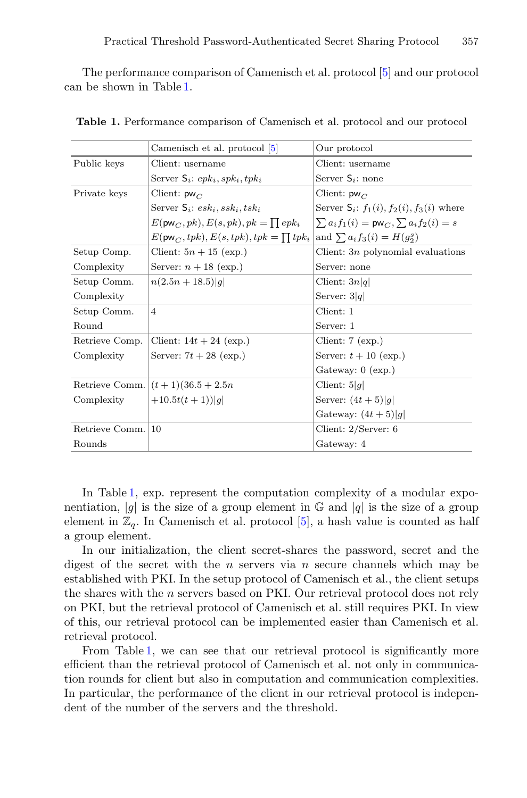The performance comparison of Camenisch et al. protocol [\[5\]](#page-18-0) and our protocol can be shown in Table [1.](#page-10-0)

|                | Camenisch et al. protocol [5]                            | Our protocol                                           |
|----------------|----------------------------------------------------------|--------------------------------------------------------|
| Public keys    | Client: username                                         | Client: username                                       |
|                | Server $S_i$ : ep $k_i$ , sp $k_i$ , tp $k_i$            | Server $S_i$ : none                                    |
| Private keys   | Client: $pw_C$                                           | Client: $pw_C$                                         |
|                | Server $S_i$ : $esk_i, ssk_i, tsk_i$                     | Server $S_i$ : $f_1(i)$ , $f_2(i)$ , $f_3(i)$ where    |
|                | $E(\mathsf{pw}_C, pk)$ , $E(s, pk)$ , $pk = \prod epk_i$ | $\sum a_i f_1(i) = \mathsf{pw}_C, \sum a_i f_2(i) = s$ |
|                | $E(\mathsf{pw}_C, tpk), E(s, tpk), tpk = \prod tpk_i$    | and $\sum a_i f_3(i) = H(g_2^s)$                       |
| Setup Comp.    | Client: $5n + 15$ (exp.)                                 | Client: $3n$ polynomial evaluations                    |
| Complexity     | Server: $n + 18$ (exp.)                                  | Server: none                                           |
| Setup Comm.    | $n(2.5n+18.5) q $                                        | Client: $3n q $                                        |
| Complexity     |                                                          | Server: $3 q $                                         |
| Setup Comm.    | $\overline{4}$                                           | Client: 1                                              |
| Round          |                                                          | Server: 1                                              |
| Retrieve Comp. | Client: $14t + 24$ (exp.)                                | Client: $7$ (exp.)                                     |
| Complexity     | Server: $7t + 28$ (exp.)                                 | Server: $t + 10$ (exp.)                                |
|                |                                                          | Gateway: $0$ (exp.)                                    |
|                | Retrieve Comm. $(t + 1)(36.5 + 2.5n)$                    | Client: $5 g $                                         |
| Complexity     | $+10.5t(t+1)$                                            | Server: $(4t+5) g $                                    |
|                |                                                          | Gateway: $(4t+5) q $                                   |
| Retrieve Comm. | 10                                                       | Client: $2/Server: 6$                                  |
| Rounds         |                                                          | Gateway: 4                                             |

<span id="page-10-0"></span>**Table 1.** Performance comparison of Camenisch et al. protocol and our protocol

In Table [1,](#page-10-0) exp. represent the computation complexity of a modular exponentiation, |q| is the size of a group element in  $\mathbb{G}$  and |q| is the size of a group element in  $\mathbb{Z}_q$ . In Camenisch et al. protocol [\[5\]](#page-18-0), a hash value is counted as half a group element.

In our initialization, the client secret-shares the password, secret and the digest of the secret with the n servers via n secure channels which may be established with PKI. In the setup protocol of Camenisch et al., the client setups the shares with the n servers based on PKI. Our retrieval protocol does not rely on PKI, but the retrieval protocol of Camenisch et al. still requires PKI. In view of this, our retrieval protocol can be implemented easier than Camenisch et al. retrieval protocol.

From Table [1,](#page-10-0) we can see that our retrieval protocol is significantly more efficient than the retrieval protocol of Camenisch et al. not only in communication rounds for client but also in computation and communication complexities. In particular, the performance of the client in our retrieval protocol is independent of the number of the servers and the threshold.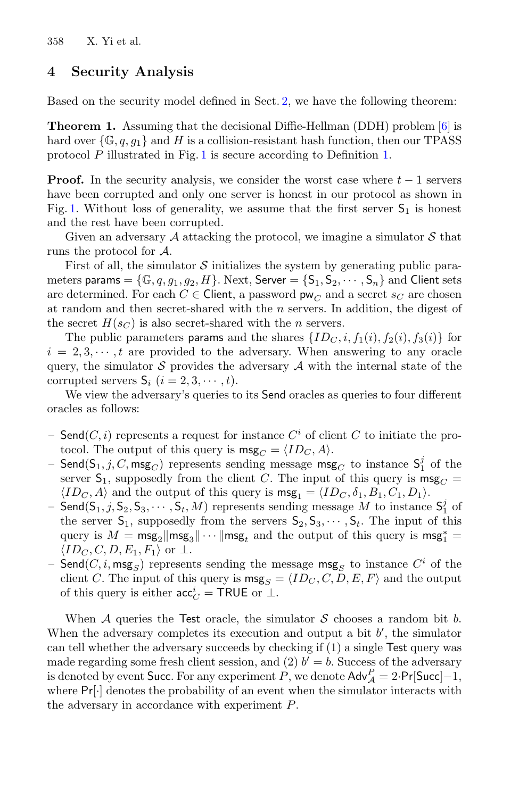## **4 Security Analysis**

Based on the security model defined in Sect. [2,](#page-3-0) we have the following theorem:

**Theorem 1.** Assuming that the decisional Diffie-Hellman (DDH) problem [\[6](#page-18-15)] is hard over  $\{\mathbb{G}, q, q_1\}$  and H is a collision-resistant hash function, then our TPASS protocol P illustrated in Fig. [1](#page-7-0) is secure according to Definition [1.](#page-5-0)

**Proof.** In the security analysis, we consider the worst case where  $t - 1$  servers have been corrupted and only one server is honest in our protocol as shown in Fig. [1.](#page-7-0) Without loss of generality, we assume that the first server  $S_1$  is honest and the rest have been corrupted.

Given an adversary  $A$  attacking the protocol, we imagine a simulator  $S$  that runs the protocol for A.

First of all, the simulator  $S$  initializes the system by generating public parameters params =  $\{\mathbb{G}, q, g_1, g_2, H\}$ . Next, Server =  $\{S_1, S_2, \cdots, S_n\}$  and Client sets are determined. For each  $C \in$  Client, a password  $\mathsf{pw}_C$  and a secret  $s_C$  are chosen at random and then secret-shared with the  $n$  servers. In addition, the digest of the secret  $H(s_C)$  is also secret-shared with the *n* servers.

The public parameters params and the shares  $\{ID_C, i, f_1(i), f_2(i), f_3(i)\}$  for  $i = 2, 3, \dots, t$  are provided to the adversary. When answering to any oracle query, the simulator S provides the adversary  $\mathcal A$  with the internal state of the corrupted servers  $S_i$   $(i = 2, 3, \dots, t)$ .

We view the adversary's queries to its Send oracles as queries to four different oracles as follows:

- Send $(C, i)$  represents a request for instance  $C^i$  of client C to initiate the protocol. The output of this query is  $\text{msg}_C = \langle ID_C, A \rangle$ .
- $\mathsf{Send}(\mathsf{S}_1, j, C, \mathsf{msg}_C)$  represents sending message  $\mathsf{msg}_C$  to instance  $\mathsf{S}_1^j$  of the server  $S_1$ , supposedly from the client C. The input of this query is  $\text{msg}_C =$  $\langle ID_C, A \rangle$  and the output of this query is  $\mathsf{msg}_1 = \langle ID_C, \delta_1, B_1, C_1, D_1 \rangle$ .
- Send( $S_1, j, S_2, S_3, \cdots, S_t, M$ ) represents sending message M to instance  $S_1^j$  of the server  $S_1$ , supposedly from the servers  $S_2, S_3, \dots, S_t$ . The input of this query is  $M = \text{msg}_2 \|\text{msg}_3\|\cdots\|\text{msg}_t$  and the output of this query is  $\text{msg}_1^* =$  $\langle ID_C, C, D, E_1, F_1 \rangle$  or  $\perp$ .
- Send( $C, i$ , msg<sub>S</sub>) represents sending the message msg<sub>S</sub> to instance  $C<sup>i</sup>$  of the client C. The input of this query is  $\text{msg}_S = \langle ID_C, C, D, E, F \rangle$  and the output of this query is either  $acc_C^i = \textsf{TRUE}$  or  $\perp$ .

When  $A$  queries the Test oracle, the simulator  $S$  chooses a random bit b. When the adversary completes its execution and output a bit  $b'$ , the simulator can tell whether the adversary succeeds by checking if (1) a single Test query was made regarding some fresh client session, and (2)  $b' = b$ . Success of the adversary is denoted by event Succ. For any experiment P, we denote  $\mathsf{Adv}_{\mathcal{A}}^P = 2 \cdot \mathsf{Pr}[\mathsf{Succ}]-1$ , where  $Pr[\cdot]$  denotes the probability of an event when the simulator interacts with the adversary in accordance with experiment P.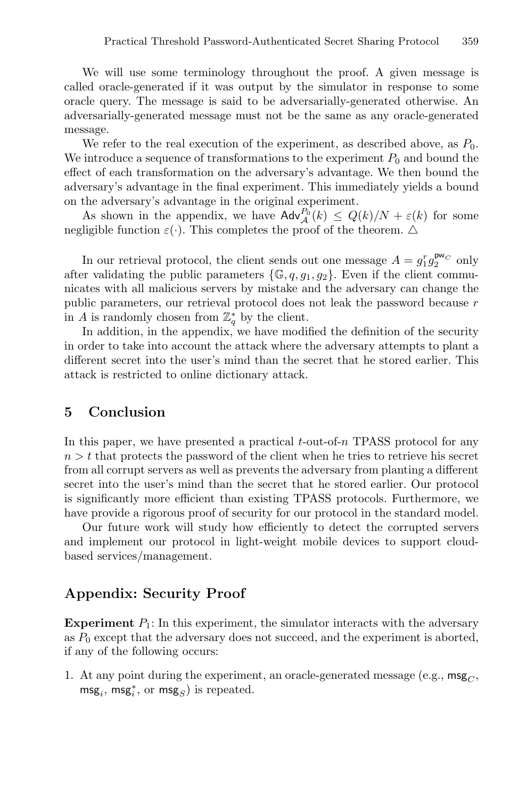We will use some terminology throughout the proof. A given message is called oracle-generated if it was output by the simulator in response to some oracle query. The message is said to be adversarially-generated otherwise. An adversarially-generated message must not be the same as any oracle-generated message.

We refer to the real execution of the experiment, as described above, as  $P_0$ . We introduce a sequence of transformations to the experiment  $P_0$  and bound the effect of each transformation on the adversary's advantage. We then bound the adversary's advantage in the final experiment. This immediately yields a bound on the adversary's advantage in the original experiment.

As shown in the appendix, we have  $\mathsf{Adv}_{\mathcal{A}}^{P_0}(k) \leq Q(k)/N + \varepsilon(k)$  for some negligible function  $\varepsilon(\cdot)$ . This completes the proof of the theorem.  $\Delta$ 

In our retrieval protocol, the client sends out one message  $A = g_1^r g_2^{\mathsf{pw}_C}$  only after validating the public parameters  $\{\mathbb{G}, q, q_1, q_2\}$ . Even if the client communicates with all malicious servers by mistake and the adversary can change the public parameters, our retrieval protocol does not leak the password because r in A is randomly chosen from  $\mathbb{Z}_q^*$  by the client.

In addition, in the appendix, we have modified the definition of the security in order to take into account the attack where the adversary attempts to plant a different secret into the user's mind than the secret that he stored earlier. This attack is restricted to online dictionary attack.

### **5 Conclusion**

In this paper, we have presented a practical  $t$ -out-of-n TPASS protocol for any  $n>t$  that protects the password of the client when he tries to retrieve his secret from all corrupt servers as well as prevents the adversary from planting a different secret into the user's mind than the secret that he stored earlier. Our protocol is significantly more efficient than existing TPASS protocols. Furthermore, we have provide a rigorous proof of security for our protocol in the standard model.

Our future work will study how efficiently to detect the corrupted servers and implement our protocol in light-weight mobile devices to support cloudbased services/management.

### **Appendix: Security Proof**

**Experiment**  $P_1$ : In this experiment, the simulator interacts with the adversary as  $P_0$  except that the adversary does not succeed, and the experiment is aborted, if any of the following occurs:

1. At any point during the experiment, an oracle-generated message (e.g.,  $\mathsf{msg}_C$ ,  $\textsf{msg}_i, \, \textsf{msg}_i^*, \, \text{or} \, \textsf{msg}_S)$  is repeated.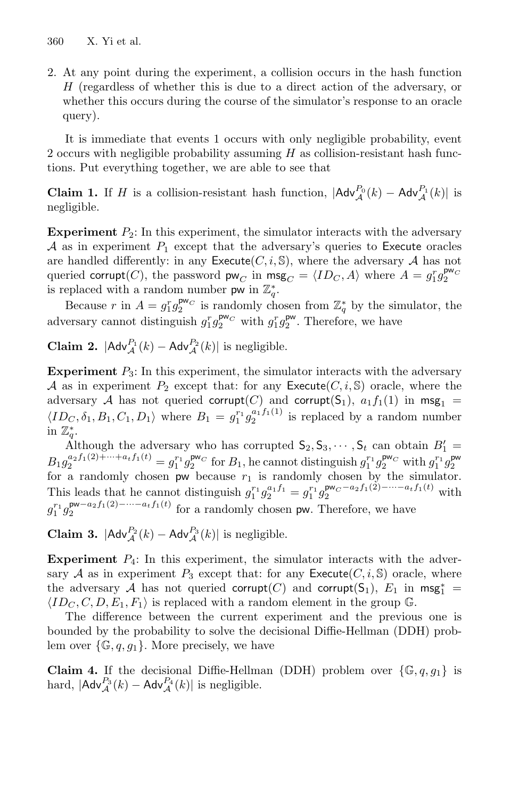2. At any point during the experiment, a collision occurs in the hash function  $H$  (regardless of whether this is due to a direct action of the adversary, or whether this occurs during the course of the simulator's response to an oracle query).

It is immediate that events 1 occurs with only negligible probability, event 2 occurs with negligible probability assuming  $H$  as collision-resistant hash functions. Put everything together, we are able to see that

**Claim 1.** If H is a collision-resistant hash function,  $|\mathsf{Adv}_{\mathcal{A}}^{P_0}(k) - \mathsf{Adv}_{\mathcal{A}}^{P_1}(k)|$  is negligible.

**Experiment**  $P_2$ : In this experiment, the simulator interacts with the adversary A as in experiment  $P_1$  except that the adversary's queries to Execute oracles are handled differently: in any Execute $(C, i, S)$ , where the adversary A has not queried corrupt(C), the password  $\mathsf{pw}_C$  in  $\mathsf{msg}_C = \langle ID_C, A \rangle$  where  $A = g_1^r g_2^{\mathsf{pw}_C}$ is replaced with a random number  $\mathsf{pw}$  in  $\mathbb{Z}_q^*$ .

Because r in  $A = g_1^r g_2^{\mathsf{p}\mathsf{w}_C}$  is randomly chosen from  $\mathbb{Z}_q^*$  by the simulator, the adversary cannot distinguish  $g_1^r g_2^{\mathsf{pw}_C}$  with  $g_1^r g_2^{\mathsf{pw}}$ . Therefore, we have

**Claim 2.**  $|\mathsf{Adv}_{\mathcal{A}}^{P_1}(k) - \mathsf{Adv}_{\mathcal{A}}^{P_2}(k)|$  is negligible.

**Experiment**  $P_3$ : In this experiment, the simulator interacts with the adversary A as in experiment  $P_2$  except that: for any Execute  $(C, i, S)$  oracle, where the adversary A has not queried corrupt(C) and corrupt(S<sub>1</sub>),  $a_1 f_1(1)$  in msg<sub>1</sub> =  $\langle ID_C, \delta_1, B_1, C_1, D_1 \rangle$  where  $B_1 = g_1^{r_1} g_2^{a_1 f_1(1)}$  is replaced by a random number in  $\mathbb{Z}_q^*$ .

Although the adversary who has corrupted  $S_2, S_3, \cdots, S_t$  can obtain  $B'_1 =$  $B_1 g_2^{a_2 f_1(2)+\dots+a_t f_1(t)} = g_1^{r_1} g_2^{\mathsf{pw}_C}$  for  $B_1$ , he cannot distinguish  $g_1^{r_1} g_2^{\mathsf{pw}_C}$  with  $g_1^{r_1} g_2^{\mathsf{pw}}$ for a randomly chosen  $\overline{p}w$  because  $r_1$  is randomly chosen by the simulator. This leads that he cannot distinguish  $g_1^{r_1} g_2^{a_1 f_1} = g_1^{r_1} g_2^{p w_C - a_2 f_1(2) - \cdots - a_t f_1(t)}$  with  $g_1^{r_1} g_2^{\mathsf{pw}-a_2} f_1(2)$ −···−*a*<sup>t</sup><sub>1</sub>(*t*)</sub> for a randomly chosen pw. Therefore, we have

**Claim 3.**  $|\mathsf{Adv}_{\mathcal{A}}^{P_2}(k) - \mathsf{Adv}_{\mathcal{A}}^{P_3}(k)|$  is negligible.

**Experiment**  $P_4$ : In this experiment, the simulator interacts with the adversary A as in experiment  $P_3$  except that: for any Execute  $(C, i, S)$  oracle, where the adversary A has not queried corrupt(C) and corrupt(S<sub>1</sub>),  $E_1$  in msg<sup>\*</sup></sup>  $\langle ID_C, C, D, E_1, F_1 \rangle$  is replaced with a random element in the group G.

The difference between the current experiment and the previous one is bounded by the probability to solve the decisional Diffie-Hellman (DDH) problem over  $\{\mathbb G,q,q_1\}$ . More precisely, we have

**Claim 4.** If the decisional Diffie-Hellman (DDH) problem over  $\{\mathbb{G}, q, g_1\}$  is hard,  $|\mathsf{Adv}_{\mathcal{A}}^{P_3}(k) - \mathsf{Adv}_{\mathcal{A}}^{P_4}(k)|$  is negligible.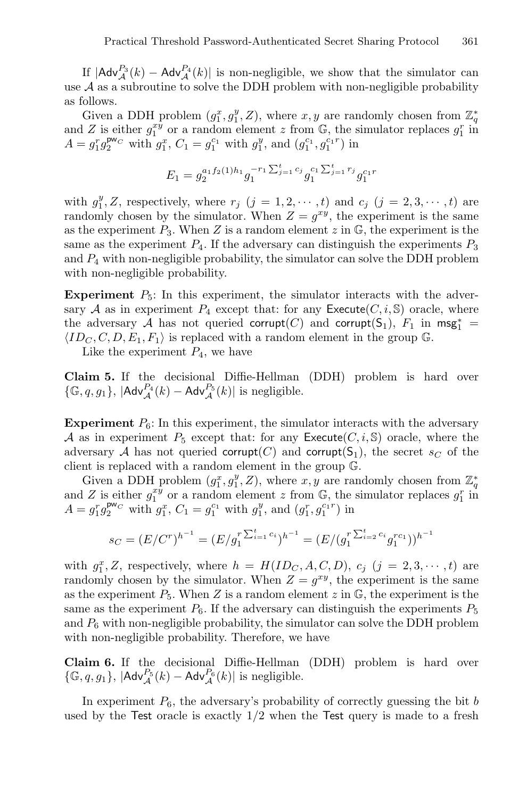If  $|Adv_A^{P_3}(k) - Adv_A^{P_4}(k)|$  is non-negligible, we show that the simulator can use  $A$  as a subroutine to solve the DDH problem with non-negligible probability as follows.

Given a DDH problem  $(g_1^x, g_1^y, Z)$ , where  $x, y$  are randomly chosen from  $\mathbb{Z}_q^*$ and Z is either  $g_1^{xy}$  or a random element z from  $\mathbb{G}$ , the simulator replaces  $g_1^r$  in  $A = g_1^r g_2^{\mathsf{pw}_C}$  with  $g_1^x$ ,  $C_1 = g_1^{c_1}$  with  $g_1^y$ , and  $(g_1^{c_1}, g_1^{c_1 r})$  in

$$
E_1 = g_2^{a_1 f_2(1) h_1} g_1^{-r_1 \sum_{j=1}^t c_j} g_1^{c_1 \sum_{j=1}^t r_j} g_1^{c_1 r}
$$

with  $g_1^y$ , Z, respectively, where  $r_j$  ( $j = 1, 2, \dots, t$ ) and  $c_j$  ( $j = 2, 3, \dots, t$ ) are randomly chosen by the simulator. When  $Z = g^{xy}$ , the experiment is the same as the experiment  $P_3$ . When Z is a random element z in  $\mathbb{G}$ , the experiment is the same as the experiment  $P_4$ . If the adversary can distinguish the experiments  $P_3$ and  $P_4$  with non-negligible probability, the simulator can solve the DDH problem with non-negligible probability.

**Experiment**  $P_5$ : In this experiment, the simulator interacts with the adversary A as in experiment  $P_4$  except that: for any Execute  $(C, i, S)$  oracle, where the adversary A has not queried corrupt(C) and corrupt(S<sub>1</sub>),  $F_1$  in msg<sup>\*</sup></sup>  $\langle ID_C, C, D, E_1, F_1 \rangle$  is replaced with a random element in the group G.

Like the experiment  $P_4$ , we have

**Claim 5.** If the decisional Diffie-Hellman (DDH) problem is hard over  $\{\mathbb{G}, q, g_1\}, \, |\mathsf{Adv}_{\mathcal{A}}^{P_4}(k) - \mathsf{Adv}_{\mathcal{A}}^{P_5}(k)|$  is negligible.

**Experiment**  $P_6$ : In this experiment, the simulator interacts with the adversary A as in experiment  $P_5$  except that: for any Execute  $(C, i, S)$  oracle, where the adversary A has not queried corrupt(C) and corrupt(S<sub>1</sub>), the secret  $s_C$  of the client is replaced with a random element in the group G.

Given a DDH problem  $(g_1^x, g_1^y, Z)$ , where  $x, y$  are randomly chosen from  $\mathbb{Z}_q^*$ and Z is either  $g_1^{xy}$  or a random element z from  $\mathbb{G}$ , the simulator replaces  $g_1^r$  in  $A = g_1^r g_2^{\mathsf{pw}_C}$  with  $g_1^x$ ,  $C_1 = g_1^{c_1}$  with  $g_1^y$ , and  $(g_1^r, g_1^{c_1r})$  in

$$
s_C = (E/C^r)^{h^{-1}} = (E/g_1^r)^{\sum_{i=1}^t c_i} = (E/(g_1^r)^{\sum_{i=2}^t c_i} g_1^{rc_1}))^{h^{-1}}
$$

with  $g_1^x$ , Z, respectively, where  $h = H(ID_C, A, C, D)$ ,  $c_j$   $(j = 2, 3, \dots, t)$  are randomly chosen by the simulator. When  $Z = g^{xy}$ , the experiment is the same as the experiment  $P_5$ . When Z is a random element z in  $\mathbb{G}$ , the experiment is the same as the experiment  $P_6$ . If the adversary can distinguish the experiments  $P_5$ and  $P_6$  with non-negligible probability, the simulator can solve the DDH problem with non-negligible probability. Therefore, we have

**Claim 6.** If the decisional Diffie-Hellman (DDH) problem is hard over  $\{\mathbb{G}, q, g_1\}, \, |\mathsf{Adv}_{\mathcal{A}}^{P_5}(k) - \mathsf{Adv}_{\mathcal{A}}^{P_6}(k)|$  is negligible.

In experiment  $P_6$ , the adversary's probability of correctly guessing the bit b used by the Test oracle is exactly  $1/2$  when the Test query is made to a fresh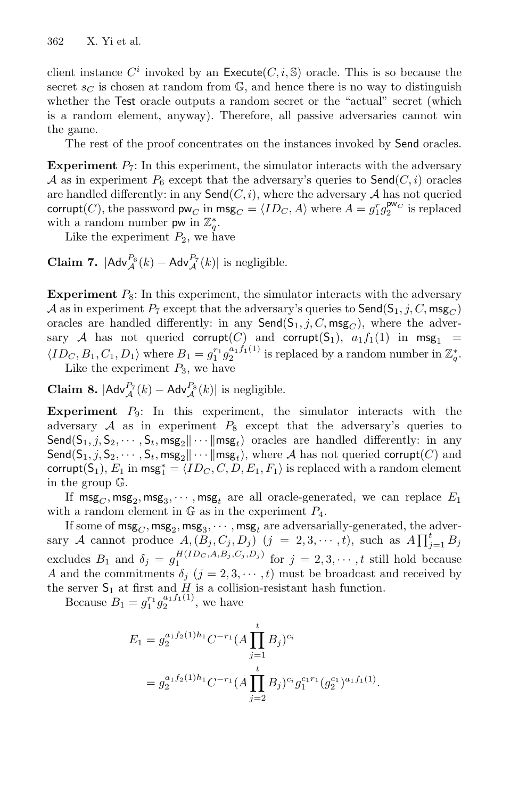client instance  $C^i$  invoked by an Execute $(C, i, \mathbb{S})$  oracle. This is so because the secret  $s_C$  is chosen at random from  $\mathbb{G}$ , and hence there is no way to distinguish whether the Test oracle outputs a random secret or the "actual" secret (which is a random element, anyway). Therefore, all passive adversaries cannot win the game.

The rest of the proof concentrates on the instances invoked by Send oracles.

**Experiment**  $P_7$ : In this experiment, the simulator interacts with the adversary A as in experiment  $P_6$  except that the adversary's queries to  $\mathsf{Send}(C, i)$  oracles are handled differently: in any  $\mathsf{Send}(C, i)$ , where the adversary A has not queried corrupt(*C*), the password  $\mathsf{pw}_C$  in  $\mathsf{msg}_C = \langle ID_C, A \rangle$  where  $A = g_1^r g_2^{\mathsf{pw}_C}$  is replaced with a random number  $\mathsf{pw}$  in  $\mathbb{Z}_q^*$ .

Like the experiment  $P_2$ , we have

**Claim 7.**  $|Adv_A^{P_6}(k) - Adv_A^{P_7}(k)|$  is negligible.

**Experiment**  $P_8$ : In this experiment, the simulator interacts with the adversary A as in experiment  $P_7$  except that the adversary's queries to  $\mathsf{Send}(S_1, j, C, \mathsf{msg}_C)$ oracles are handled differently: in any  $\mathsf{Send}(S_1, j, C, \mathsf{msg}_C)$ , where the adversary A has not queried corrupt(C) and corrupt(S<sub>1</sub>),  $a_1 f_1(1)$  in msg<sub>1</sub> =  $\langle ID_C, B_1, C_1, D_1 \rangle$  where  $B_1 = g_1^{r_1} g_2^{a_1 f_1(1)}$  is replaced by a random number in  $\mathbb{Z}_q^*$ . Like the experiment  $P_3$ , we have

**Claim 8.**  $|\text{Adv}_{\mathcal{A}}^{P_7}(k) - \text{Adv}_{\mathcal{A}}^{P_8}(k)|$  is negligible.

**Experiment**  $P_9$ : In this experiment, the simulator interacts with the adversary  $A$  as in experiment  $P_8$  except that the adversary's queries to  $\textsf{Send}(S_1, j, S_2, \cdots, S_t, \textsf{msg}_2 \| \cdots \| \textsf{msg}_t)$  oracles are handled differently: in any Send( $S_1, j, S_2, \cdots, S_t, \text{msg}_2 \cdots \text{msg}_t$ ), where A has not queried corrupt(C) and corrupt(S<sub>1</sub>),  $E_1$  in msg<sup>\*</sup><sub>1</sub> =  $\langle ID_C, C, D, E_1, F_1 \rangle$  is replaced with a random element in the group G.

If  $\text{msg}_C, \text{msg}_2, \text{msg}_3, \cdots, \text{msg}_t$  are all oracle-generated, we can replace  $E_1$ with a random element in  $\mathbb G$  as in the experiment  $P_4$ .

If some of  $\textsf{msg}_C, \textsf{msg}_3, \cdots, \textsf{msg}_t$  are adversarially-generated, the adversary A cannot produce  $A, (B_j, C_j, D_j)$   $(j = 2, 3, \dots, t)$ , such as  $A \prod_{j=1}^t B_j$ excludes  $B_1$  and  $\delta_j = g_1^{H(ID_C, A, B_j, C_j, D_j)}$  for  $j = 2, 3, \dots, t$  still hold because A and the commitments  $\delta_j$  ( $j = 2, 3, \dots, t$ ) must be broadcast and received by the server  $S_1$  at first and  $H$  is a collision-resistant hash function.

Because  $B_1 = g_1^{r_1} g_2^{a_1 f_1(1)}$ , we have

$$
E_1 = g_2^{a_1 f_2(1)h_1} C^{-r_1} (A \prod_{j=1}^t B_j)^{c_i}
$$
  
=  $g_2^{a_1 f_2(1)h_1} C^{-r_1} (A \prod_{j=2}^t B_j)^{c_i} g_1^{c_1 r_1} (g_2^{c_1})^{a_1 f_1(1)}$ .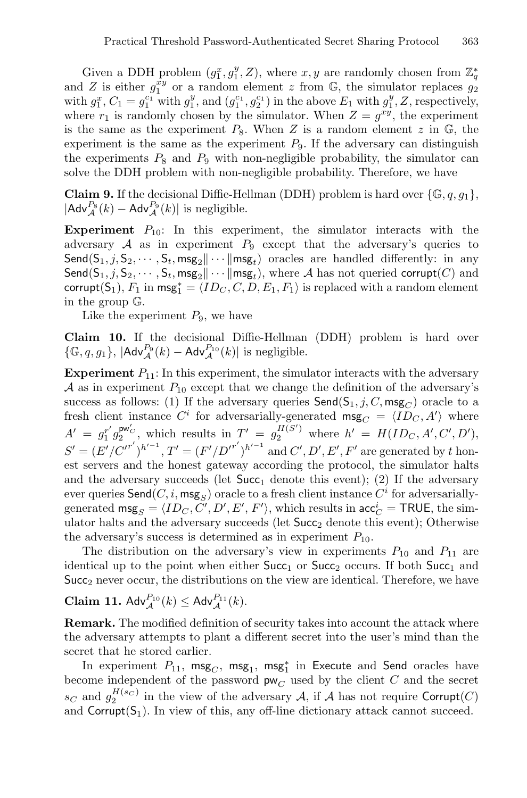Given a DDH problem  $(g_1^x, g_1^y, Z)$ , where  $x, y$  are randomly chosen from  $\mathbb{Z}_q^*$ and Z is either  $g_1^{xy}$  or a random element z from G, the simulator replaces  $g_2$ with  $g_1^x$ ,  $C_1 = g_1^{c_1}$  with  $g_1^y$ , and  $(g_1^{c_1}, g_2^{c_1})$  in the above  $E_1$  with  $g_1^y$ , Z, respectively, where  $r_1$  is randomly chosen by the simulator. When  $Z = g^{xy}$ , the experiment is the same as the experiment  $P_8$ . When Z is a random element z in  $\mathbb{G}$ , the experiment is the same as the experiment  $P_9$ . If the adversary can distinguish the experiments  $P_8$  and  $P_9$  with non-negligible probability, the simulator can solve the DDH problem with non-negligible probability. Therefore, we have

**Claim 9.** If the decisional Diffie-Hellman (DDH) problem is hard over  $\{\mathbb{G}, q, g_1\}$ ,  $|\mathsf{Adv}_{\mathcal{A}}^{P_8}(k) - \mathsf{Adv}_{\mathcal{A}}^{P_9}(k)|$  is negligible.

**Experiment**  $P_{10}$ : In this experiment, the simulator interacts with the adversary  $A$  as in experiment  $P_9$  except that the adversary's queries to  $\textsf{Send}(S_1, j, S_2, \cdots, S_t, \textsf{msg}_2 \| \cdots \| \textsf{msg}_t)$  oracles are handled differently: in any Send( $S_1, j, S_2, \cdots, S_t, \text{msg}_2 \cdots \text{msg}_t$ ), where A has not queried corrupt(C) and corrupt(S<sub>1</sub>),  $F_1$  in msg<sup>\*</sup><sub>1</sub> =  $\langle ID_C, C, D, E_1, F_1 \rangle$  is replaced with a random element in the group G.

Like the experiment  $P_9$ , we have

**Claim 10.** If the decisional Diffie-Hellman (DDH) problem is hard over  $\{\mathbb{G}, q, g_1\}, \, |\mathsf{Adv}_{\mathcal{A}}^{P_9}(k) - \mathsf{Adv}_{\mathcal{A}}^{P_{10}}(k)|$  is negligible.

**Experiment**  $P_{11}$ : In this experiment, the simulator interacts with the adversary A as in experiment  $P_{10}$  except that we change the definition of the adversary's success as follows: (1) If the adversary queries  $\mathsf{Send}(S_1, j, C, \mathsf{msg}_C)$  oracle to a fresh client instance  $C^i$  for adversarially-generated  $\text{msg}_C = \langle ID_C, A' \rangle$  where  $A' = g_1^{r'} g_2^{\mathsf{pw}'_C}$ , which results in  $T' = g_2^{H(S')}$  where  $h' = H(ID_C, A', C', D'),$  $S' = (E'/C'^{r'})^{h'^{-1}}, T' = (F'/D'^{r'})^{h'^{-1}}$  and  $C', D', E', F'$  are generated by t honest servers and the honest gateway according the protocol, the simulator halts and the adversary succeeds (let  $Succ<sub>1</sub>$  denote this event); (2) If the adversary ever queries  $\mathsf{Send}(C, i, \mathsf{msg}_S)$  oracle to a fresh client instance  $C^i$  for adversariallygenerated  $\text{msg}_S = \langle ID_C, C', D', E', F' \rangle$ , which results in  $\text{acc}_C^i = \text{TRUE}$ , the simulator halts and the adversary succeeds (let  $Succ_2$  denote this event); Otherwise the adversary's success is determined as in experiment  $P_{10}$ .

The distribution on the adversary's view in experiments  $P_{10}$  and  $P_{11}$  are identical up to the point when either  $Succ_1$  or  $Succ_2$  occurs. If both  $Succ_1$  and  $Succ<sub>2</sub>$  never occur, the distributions on the view are identical. Therefore, we have

# **Claim 11.**  $\mathsf{Adv}_{\mathcal{A}}^{P_{10}}(k) \leq \mathsf{Adv}_{\mathcal{A}}^{P_{11}}(k)$ .

**Remark.** The modified definition of security takes into account the attack where the adversary attempts to plant a different secret into the user's mind than the secret that he stored earlier.

In experiment  $P_{11}$ ,  $\mathsf{msg}_C$ ,  $\mathsf{msg}_1$ ,  $\mathsf{msg}_1^*$  in Execute and Send oracles have become independent of the password  $\mathsf{pw}_C$  used by the client  $C$  and the secret  $s_C$  and  $g_2^{H(s_C)}$  in the view of the adversary A, if A has not require Corrupt(C) and  $Corrupt(S_1)$ . In view of this, any off-line dictionary attack cannot succeed.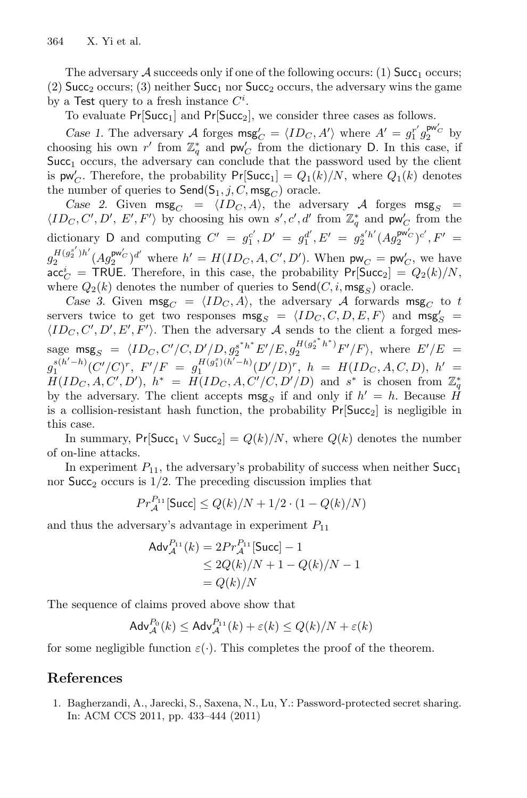The adversary  $\mathcal A$  succeeds only if one of the following occurs: (1) Succ<sub>1</sub> occurs; (2) Succ<sub>2</sub> occurs; (3) neither Succ<sub>1</sub> nor Succ<sub>2</sub> occurs, the adversary wins the game by a Test query to a fresh instance  $C^i$ .

To evaluate  $Pr[Succ_1]$  and  $Pr[Succ_2]$ , we consider three cases as follows.

*Case 1.* The adversary A forges  $\text{msg}_C' = \langle ID_C, A' \rangle$  where  $A' = g_1^{r'} g_2^{\text{pw}_C}$  by choosing his own  $r'$  from  $\mathbb{Z}_q^*$  and  $\mathsf{pw}'_C$  from the dictionary D. In this case, if  $Succ<sub>1</sub>$  occurs, the adversary can conclude that the password used by the client is  $\mathsf{pw}_C'$ . Therefore, the probability  $\mathsf{Pr}[\mathsf{Succ}_1] = Q_1(k)/N$ , where  $Q_1(k)$  denotes the number of queries to  $\mathsf{Send}(S_1, j, C, \mathsf{msg}_C)$  oracle.

*Case 2.* Given  $\text{msg}_C = \langle ID_C, A \rangle$ , the adversary A forges  $\text{msg}_S =$  $\langle ID_C, C', D', E', F' \rangle$  by choosing his own  $s', c', d'$  from  $\mathbb{Z}_q^*$  and  $\mathsf{pw}'_C$  from the dictionary D and computing  $C' = g_1^{c'}, D' = g_1^{d'}, E' = g_2^{s'h'} (Ag_2^{\text{pw}'c})^{c'}, F' =$  $g_2^{H(g_2^{s'})h'}(Ag_2^{\mathsf{pw}'_C})^{d'}$  where  $h' = H(ID_C, A, C', D')$ . When  $\mathsf{pw}_C = \mathsf{pw}'_C$ , we have  $\mathsf{acc}_C^i = \mathsf{TRUE}.$  Therefore, in this case, the probability  $\mathsf{Pr}[\mathsf{Succ}_2] = Q_2(k)/N,$ where  $Q_2(k)$  denotes the number of queries to  $\mathsf{Send}(C, i, \mathsf{msg}_S)$  oracle.

*Case 3.* Given  $\text{msg}_C = \langle ID_C, A \rangle$ , the adversary A forwards  $\text{msg}_C$  to t servers twice to get two responses  $\text{msg}_S = \langle ID_C, C, D, E, F \rangle$  and  $\text{msg}_S' = \langle ID_C, C, D, E, F \rangle$  $\langle ID_C, C', D', E', F' \rangle$ . Then the adversary A sends to the client a forged message  $\text{msg}_S = \langle ID_C, C'/C, D'/D, g_s^{s^*h^*} E'/E, g_2^{H(g_2^{s^*h^*})} F'/F \rangle$ , where  $E'/E =$  $g_1^{s(h'-h)}(C'/C)^r$ ,  $F'/F = g_1^{H(g_1^s)(h'-h)}(D'/D)^r$ ,  $h = H(ID_C, A, C, D)$ ,  $h' =$  $H(ID_C, A, C', D'), h^* = H(ID_C, A, C'/C, D'/D)$  and s<sup>\*</sup> is chosen from  $\mathbb{Z}_q^*$ by the adversary. The client accepts msg<sub>S</sub> if and only if  $h' = h$ . Because  $\hat{H}$ is a collision-resistant hash function, the probability  $Pr[Succ_2]$  is negligible in this case.

In summary, Pr[Succ<sub>1</sub> ∨ Succ<sub>2</sub>] =  $Q(k)/N$ , where  $Q(k)$  denotes the number of on-line attacks.

In experiment  $P_{11}$ , the adversary's probability of success when neither  $Succ<sub>1</sub>$ nor  $Succ<sub>2</sub>$  occurs is  $1/2$ . The preceding discussion implies that

$$
Pr_A^{P_{11}}[\text{Succ}] \le Q(k)/N + 1/2 \cdot (1 - Q(k)/N)
$$

and thus the adversary's advantage in experiment  $P_{11}$ 

$$
Adv_{\mathcal{A}}^{P_{11}}(k) = 2Pr_{\mathcal{A}}^{P_{11}}[Succ] - 1
$$
  
\n
$$
\leq 2Q(k)/N + 1 - Q(k)/N - 1
$$
  
\n
$$
= Q(k)/N
$$

The sequence of claims proved above show that

$$
Adv_{\mathcal{A}}^{P_0}(k) \le Adv_{\mathcal{A}}^{P_{11}}(k) + \varepsilon(k) \le Q(k)/N + \varepsilon(k)
$$

for some negligible function  $\varepsilon(\cdot)$ . This completes the proof of the theorem.

### <span id="page-17-0"></span>**References**

1. Bagherzandi, A., Jarecki, S., Saxena, N., Lu, Y.: Password-protected secret sharing. In: ACM CCS 2011, pp. 433–444 (2011)